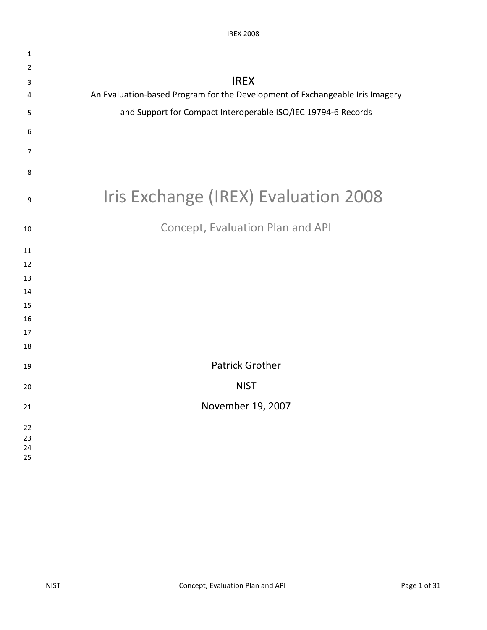| $\mathbf{1}$ |                                                                              |
|--------------|------------------------------------------------------------------------------|
| 2            |                                                                              |
| 3            | <b>IREX</b>                                                                  |
| 4            | An Evaluation-based Program for the Development of Exchangeable Iris Imagery |
| 5            | and Support for Compact Interoperable ISO/IEC 19794-6 Records                |
| 6            |                                                                              |
| 7            |                                                                              |
| 8            |                                                                              |
| 9            | Iris Exchange (IREX) Evaluation 2008                                         |
| 10           | Concept, Evaluation Plan and API                                             |
| 11           |                                                                              |
| 12           |                                                                              |
| 13           |                                                                              |
| 14           |                                                                              |
| 15           |                                                                              |
| 16           |                                                                              |
| 17           |                                                                              |
| 18           |                                                                              |
| 19           | <b>Patrick Grother</b>                                                       |
| 20           | <b>NIST</b>                                                                  |
| 21           | November 19, 2007                                                            |
| 22           |                                                                              |
| 23           |                                                                              |
| 24<br>25     |                                                                              |
|              |                                                                              |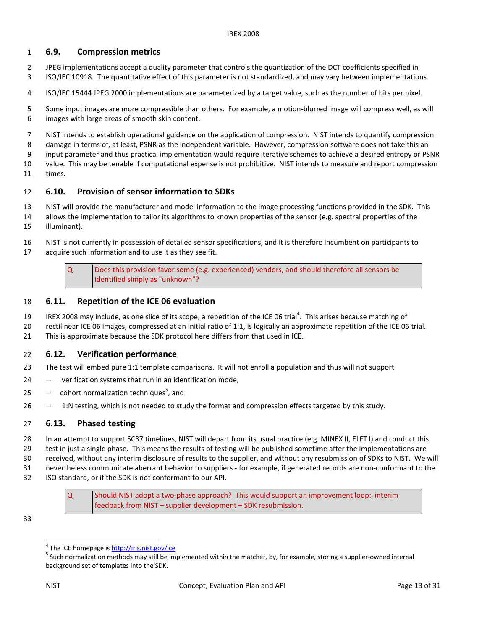## 1 6.9. Compression metrics

- 2 JPEG implementations accept a quality parameter that controls the quantization of the DCT coefficients specified in 3 ISO/IEC 10918. The quantitative effect of this parameter is not standardized, and may vary between implementations.
- 4 ISO/IEC 15444 JPEG 2000 implementations are parameterized by a target value, such as the number of bits per pixel.
- 5 Some input images are more compressible than others. For example, a motion-blurred image will compress well, as will 6 images with large areas of smooth skin content.
- 7 NIST intends to establish operational guidance on the application of compression. NIST intends to quantify compression
- 8 damage in terms of, at least, PSNR as the independent variable. However, compression software does not take this an
- 9 input parameter and thus practical implementation would require iterative schemes to achieve a desired entropy or PSNR
- 10 value. This may be tenable if computational expense is not prohibitive. NIST intends to measure and report compression times.

# 11 times.<br>12 **6.10. Provision of sensor information to SDKs**

- 13 NIST will provide the manufacturer and model information to the image processing functions provided in the SDK. This
- 14 allows the implementation to tailor its algorithms to known properties of the sensor (e.g. spectral properties of the 15 illuminant).
- 16 NIST is not currently in possession of detailed sensor specifications, and it is therefore incumbent on participants to 17 acquire such information and to use it as they see fit.

## 18 6.11. Repetition of the ICE 06 evaluation

- 19 IREX 2008 may include, as one slice of its scope, a repetition of the ICE 06 trial<sup>4</sup>. This arises because matching of
- 20 rectilinear ICE 06 images, compressed at an initial ratio of 1:1, is logically an approximate repetition of the ICE 06 trial. 21 This is approximate because the SDK protocol here differs from that used in ICE.
- 

## 22 6.12. Verification performance

- 23 The test will embed pure 1:1 template comparisons. It will not enroll a population and thus will not support
- 24 ― verification systems that run in an identification mode,
- 25  $-$  cohort normalization techniques<sup>5</sup>, and
- 26 1:N testing, which is not needed to study the format and compression effects targeted by this study.

## 27 6.13. Phased testing

 28 In an attempt to support SC37 timelines, NIST will depart from its usual practice (e.g. MINEX II, ELFT I) and conduct this 29 test in just a single phase. This means the results of testing will be published sometime after the implementations are 30 received, without any interim disclosure of results to the supplier, and without any resubmission of SDKs to NIST. We will 31 nevertheless communicate aberrant behavior to suppliers - for example, if generated records are non-conformant to the

32 ISO standard, or if the SDK is not conformant to our API.

 Q Should NIST adopt a two-phase approach? This would support an improvement loop: interim feedback from NIST – supplier development – SDK resubmission.

33

 $\overline{a}$ 

 $\alpha$  identified simply as "unknown"? Does this provision favor some (e.g. experienced) vendors, and should therefore all sensors be

<sup>&</sup>lt;sup>4</sup> The ICE homepage is http://iris.nist.gov/ice

<sup>&</sup>lt;sup>4</sup> The ICE homepage is <u>http://iris.nist.gov/ice</u><br><sup>5</sup> Such normalization methods may still be implemented within the matcher, by, for example, storing a supplier-owned internal background set of templates into the SDK.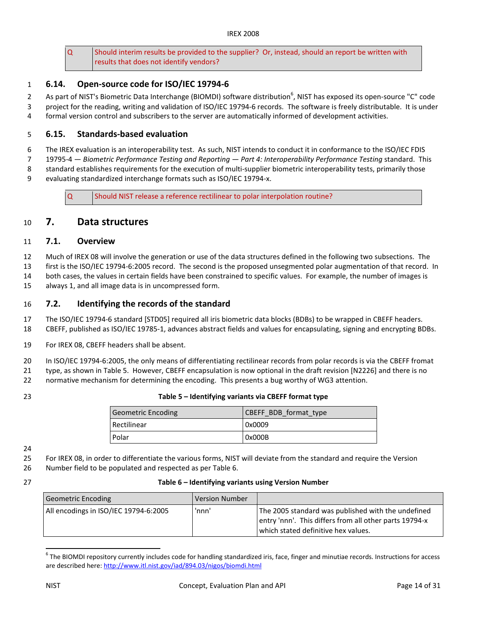Q Should interim results be provided to the supplier? Or, instead, should an report be written with results that does not identify vendors?

## 1 6.14. Open-source code for ISO/IEC 19794-6

2 As part of NIST's Biometric Data Interchange (BIOMDI) software distribution<sup>6</sup>, NIST has exposed its open-source "C" code 3 project for the reading, writing and validation of ISO/IEC 19794-6 records. The software is freely distributable. It is under 4 formal version control and subscribers to the server are automatically informed of development activities.

## 5 6.15. Standards-based evaluation

6 The IREX evaluation is an interoperability test. As such, NIST intends to conduct it in conformance to the ISO/IEC FDIS

7 19795-4 — Biometric Performance Testing and Reporting — Part 4: Interoperability Performance Testing standard. This

8 standard establishes requirements for the execution of multi-supplier biometric interoperability tests, primarily those

9 evaluating standardized interchange formats such as ISO/IEC 19794-x.

Q Should NIST release a reference rectilinear to polar interpolation routine?

# 10 7. Data structures

#### 11 7.1. Overview

12 Much of IREX 08 will involve the generation or use of the data structures defined in the following two subsections. The

13 first is the ISO/IEC 19794-6:2005 record. The second is the proposed unsegmented polar augmentation of that record. In

14 both cases, the values in certain fields have been constrained to specific values. For example, the number of images is

15 always 1, and all image data is in uncompressed form.

## 16 7.2. Identifying the records of the standard

17 The ISO/IEC 19794-6 standard [STD05] required all iris biometric data blocks (BDBs) to be wrapped in CBEFF headers.

- 18 CBEFF, published as ISO/IEC 19785-1, advances abstract fields and values for encapsulating, signing and encrypting BDBs.
- 19 For IREX 08, CBEFF headers shall be absent.

20 In ISO/IEC 19794-6:2005, the only means of differentiating rectilinear records from polar records is via the CBEFF fromat

21 type, as shown in Table 5. However, CBEFF encapsulation is now optional in the draft revision [N2226] and there is no

22 normative mechanism for determining the encoding. This presents a bug worthy of WG3 attention.

## 23 Table 5 – Identifying variants via CBEFF format type

| Geometric Encoding | CBEFF BDB format type |
|--------------------|-----------------------|
| Rectilinear        | 0x0009                |
| Polar              | 0x000B                |

24

25 For IREX 08, in order to differentiate the various forms, NIST will deviate from the standard and require the Version

26 Number field to be populated and respected as per Table 6.

| Table 6 - Identifying variants using Version Number |
|-----------------------------------------------------|
|                                                     |

| Geometric Encoding                    | Version Number |                                                                                                                                                     |
|---------------------------------------|----------------|-----------------------------------------------------------------------------------------------------------------------------------------------------|
| All encodings in ISO/IEC 19794-6:2005 | 'nnn'          | The 2005 standard was published with the undefined<br>entry 'nnn'. This differs from all other parts 19794-x<br>which stated definitive hex values. |

 $^6$  The BIOMDI repository currently includes code for handling standardized iris, face, finger and minutiae records. Instructions for access are described here:<http://www.itl.nist.gov/iad/894.03/nigos/biomdi.html>

 $\overline{\phantom{a}}$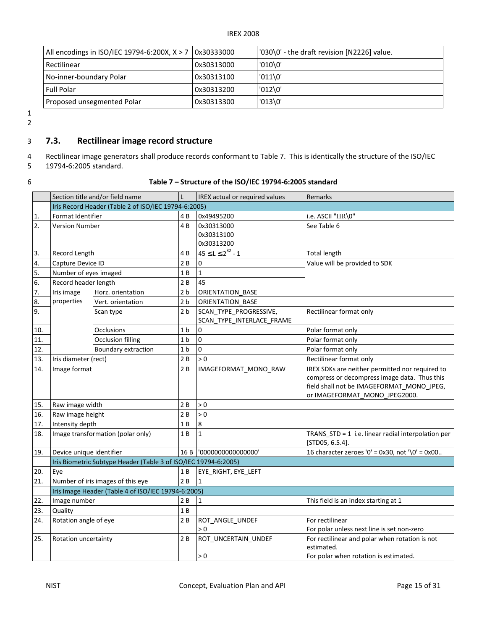| All encodings in ISO/IEC 19794-6:200X, $X > 7$ 0x30333000 |            | '030\0' - the draft revision [N2226] value. |
|-----------------------------------------------------------|------------|---------------------------------------------|
| Rectilinear                                               | 0x30313000 | '010'0'                                     |
| No-inner-boundary Polar                                   | 0x30313100 | $'011\$ 0'                                  |
| <b>Full Polar</b>                                         | 0x30313200 | $'012\,0'$                                  |
| Proposed unsegmented Polar                                | 0x30313300 | '013'0'                                     |

1 2

## 3 7.3. Rectilinear image record structure

- Rectilinear image generators shall produce records conformant to Table 7. This is identically the structure of the ISO/IEC 4
- 19794-6:2005 standard. 5
- 

#### 6 Table 7 – Structure of the ISO/IEC 19794-6:2005 standard

|     |                          | Section title and/or field name                                 | L              | IREX actual or required values                      | Remarks                                                                                                                                                                       |
|-----|--------------------------|-----------------------------------------------------------------|----------------|-----------------------------------------------------|-------------------------------------------------------------------------------------------------------------------------------------------------------------------------------|
|     |                          | Iris Record Header (Table 2 of ISO/IEC 19794-6:2005)            |                |                                                     |                                                                                                                                                                               |
| 1.  | Format Identifier        |                                                                 | 4 B            | 0x49495200                                          | i.e. ASCII "IIR\0"                                                                                                                                                            |
| 2.  | <b>Version Number</b>    |                                                                 | 4B             | 0x30313000                                          | See Table 6                                                                                                                                                                   |
|     |                          |                                                                 |                | 0x30313100                                          |                                                                                                                                                                               |
|     |                          |                                                                 |                | 0x30313200                                          |                                                                                                                                                                               |
| 3.  | Record Length            |                                                                 | 4B             | $45 \le L \le 2^{32} - 1$                           | <b>Total length</b>                                                                                                                                                           |
| 4.  | Capture Device ID        |                                                                 | 2 B            | $\Omega$                                            | Value will be provided to SDK                                                                                                                                                 |
| 5.  | Number of eyes imaged    |                                                                 | 1B             | $\mathbf{1}$                                        |                                                                                                                                                                               |
| 6.  | Record header length     |                                                                 | 2B             | 45                                                  |                                                                                                                                                                               |
| 7.  | Iris image               | Horz. orientation                                               | 2 <sub>b</sub> | <b>ORIENTATION BASE</b>                             |                                                                                                                                                                               |
| 8.  | properties               | Vert. orientation                                               | 2 <sub>b</sub> | ORIENTATION BASE                                    |                                                                                                                                                                               |
| 9.  |                          | Scan type                                                       | 2 <sub>b</sub> | SCAN TYPE PROGRESSIVE,<br>SCAN TYPE INTERLACE FRAME | Rectilinear format only                                                                                                                                                       |
| 10. |                          | <b>Occlusions</b>                                               | 1 <sub>b</sub> | 0                                                   | Polar format only                                                                                                                                                             |
| 11. |                          | <b>Occlusion filling</b>                                        | 1 <sub>b</sub> | 0                                                   | Polar format only                                                                                                                                                             |
| 12. |                          | Boundary extraction                                             | 1 <sub>b</sub> | 0                                                   | Polar format only                                                                                                                                                             |
| 13. | Iris diameter (rect)     |                                                                 | 2B             | > 0                                                 | Rectilinear format only                                                                                                                                                       |
| 14. | Image format             |                                                                 | 2B             | IMAGEFORMAT MONO RAW                                | IREX SDKs are neither permitted nor required to<br>compress or decompress image data. Thus this<br>field shall not be IMAGEFORMAT_MONO_JPEG,<br>or IMAGEFORMAT MONO JPEG2000. |
| 15. | Raw image width          |                                                                 | 2B             | > 0                                                 |                                                                                                                                                                               |
| 16. | Raw image height         |                                                                 | 2B             | > 0                                                 |                                                                                                                                                                               |
| 17. | Intensity depth          |                                                                 | 1 B            | 8                                                   |                                                                                                                                                                               |
| 18. |                          | Image transformation (polar only)                               | 1 B            | $\mathbf{1}$                                        | TRANS_STD = 1 i.e. linear radial interpolation per<br>[STD05, 6.5.4].                                                                                                         |
| 19. | Device unique identifier |                                                                 | 16B            | '0000000000000000'                                  | 16 character zeroes '0' = $0x30$ , not '\0' = $0x00$                                                                                                                          |
|     |                          | Iris Biometric Subtype Header (Table 3 of ISO/IEC 19794-6:2005) |                |                                                     |                                                                                                                                                                               |
| 20. | Eye                      |                                                                 | 1 B            | EYE RIGHT, EYE LEFT                                 |                                                                                                                                                                               |
| 21. |                          | Number of iris images of this eye                               | 2B             | $\mathbf{1}$                                        |                                                                                                                                                                               |
|     |                          | Iris Image Header (Table 4 of ISO/IEC 19794-6:2005)             |                |                                                     |                                                                                                                                                                               |
| 22. | Image number             |                                                                 | 2 B            | $\mathbf{1}$                                        | This field is an index starting at 1                                                                                                                                          |
| 23. | Quality                  |                                                                 | 1B             |                                                     |                                                                                                                                                                               |
| 24. | Rotation angle of eye    |                                                                 | 2B             | ROT_ANGLE_UNDEF<br>> 0                              | For rectilinear<br>For polar unless next line is set non-zero                                                                                                                 |
| 25. | Rotation uncertainty     |                                                                 | 2 B            | ROT_UNCERTAIN_UNDEF<br>> 0                          | For rectilinear and polar when rotation is not<br>estimated.<br>For polar when rotation is estimated.                                                                         |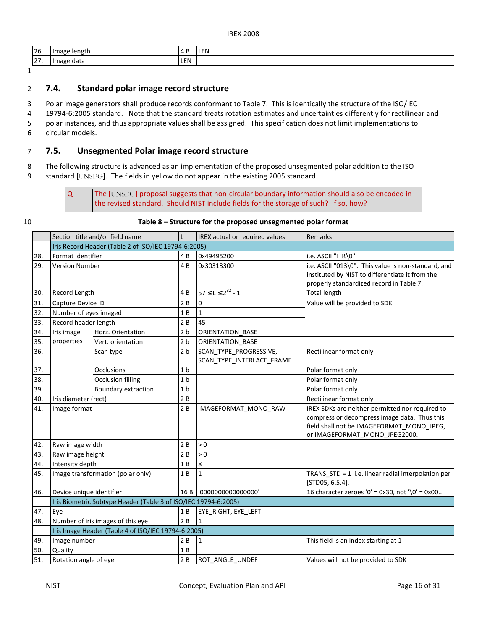| 26.                          | lengti<br><b>Ilmage</b> |                | LEN |  |
|------------------------------|-------------------------|----------------|-----|--|
| $\sim$ $-$<br>. <i>. .</i> . | data<br>lmage           | $ \sim$<br>LEN |     |  |

1

## 2 7.4. Standard polar image record structure

3 Polar image generators shall produce records conformant to Table 7. This is identically the structure of the ISO/IEC

4 19794-6:2005 standard. Note that the standard treats rotation estimates and uncertainties differently for rectilinear and

5 polar instances, and thus appropriate values shall be assigned. This specification does not limit implementations to

6 circular models.

 $\overline{Q}$ 

# 7 7.5. Unsegmented Polar image record structure

 8 The following structure is advanced as an implementation of the proposed unsegmented polar addition to the ISO 9 standard [UNSEG]. The fields in yellow do not appear in the existing 2005 standard.

> the revised standard. Should NIST include fields for the storage of such? If so, how? The [UNSEG] proposal suggests that non-circular boundary information should also be encoded in

#### 10 Table 8 – Structure for the proposed unsegmented polar format

|     |                          | Section title and/or field name                                 |                | <b>IREX</b> actual or required values               | Remarks                                                                                                                                                                       |
|-----|--------------------------|-----------------------------------------------------------------|----------------|-----------------------------------------------------|-------------------------------------------------------------------------------------------------------------------------------------------------------------------------------|
|     |                          | Iris Record Header (Table 2 of ISO/IEC 19794-6:2005)            |                |                                                     |                                                                                                                                                                               |
| 28. | Format Identifier        |                                                                 | 4B             | 0x49495200                                          | i.e. ASCII "IIR\0"                                                                                                                                                            |
| 29. | <b>Version Number</b>    |                                                                 | 4B             | 0x30313300                                          | i.e. ASCII "013\0". This value is non-standard, and<br>instituted by NIST to differentiate it from the<br>properly standardized record in Table 7.                            |
| 30. | Record Length            |                                                                 | 4 B            | $57 \le L \le 2^{32} - 1$                           | <b>Total length</b>                                                                                                                                                           |
| 31. | Capture Device ID        |                                                                 | 2B             | 0                                                   | Value will be provided to SDK                                                                                                                                                 |
| 32. | Number of eyes imaged    |                                                                 | 1B             | $\mathbf{1}$                                        |                                                                                                                                                                               |
| 33. | Record header length     |                                                                 | 2B             | 45                                                  |                                                                                                                                                                               |
| 34. | Iris image               | Horz. Orientation                                               | 2 <sub>b</sub> | ORIENTATION BASE                                    |                                                                                                                                                                               |
| 35. | properties               | Vert. orientation                                               | 2 <sub>b</sub> | ORIENTATION_BASE                                    |                                                                                                                                                                               |
| 36. |                          | Scan type                                                       | 2 <sub>b</sub> | SCAN TYPE PROGRESSIVE,<br>SCAN_TYPE_INTERLACE_FRAME | Rectilinear format only                                                                                                                                                       |
| 37. |                          | <b>Occlusions</b>                                               | 1 <sub>b</sub> |                                                     | Polar format only                                                                                                                                                             |
| 38. |                          | <b>Occlusion filling</b>                                        | 1 <sub>b</sub> |                                                     | Polar format only                                                                                                                                                             |
| 39. |                          | Boundary extraction                                             | 1 <sub>b</sub> |                                                     | Polar format only                                                                                                                                                             |
| 40. | Iris diameter (rect)     |                                                                 | 2B             |                                                     | Rectilinear format only                                                                                                                                                       |
| 41. | Image format             |                                                                 | 2B             | IMAGEFORMAT MONO RAW                                | IREX SDKs are neither permitted nor required to<br>compress or decompress image data. Thus this<br>field shall not be IMAGEFORMAT MONO JPEG,<br>or IMAGEFORMAT MONO JPEG2000. |
| 42. | Raw image width          |                                                                 | 2B             | > 0                                                 |                                                                                                                                                                               |
| 43. | Raw image height         |                                                                 | 2B             | > 0                                                 |                                                                                                                                                                               |
| 44. | Intensity depth          |                                                                 | 1B             | 8                                                   |                                                                                                                                                                               |
| 45. |                          | Image transformation (polar only)                               | 1B             | $\mathbf 1$                                         | TRANS_STD = 1 i.e. linear radial interpolation per<br>[STD05, 6.5.4].                                                                                                         |
| 46. | Device unique identifier |                                                                 | 16 B           | '0000000000000000'                                  | 16 character zeroes '0' = $0x30$ , not '\0' = $0x00$                                                                                                                          |
|     |                          | Iris Biometric Subtype Header (Table 3 of ISO/IEC 19794-6:2005) |                |                                                     |                                                                                                                                                                               |
| 47. | Eye                      |                                                                 | 1 B            | EYE RIGHT, EYE LEFT                                 |                                                                                                                                                                               |
| 48. |                          | Number of iris images of this eye                               | 2B             | 1                                                   |                                                                                                                                                                               |
|     |                          | Iris Image Header (Table 4 of ISO/IEC 19794-6:2005)             |                |                                                     |                                                                                                                                                                               |
| 49. | Image number             |                                                                 | 2B             | $\mathbf{1}$                                        | This field is an index starting at 1                                                                                                                                          |
| 50. | Quality                  |                                                                 | 1B             |                                                     |                                                                                                                                                                               |
| 51. | Rotation angle of eye    |                                                                 | 2B             | ROT ANGLE UNDEF                                     | Values will not be provided to SDK                                                                                                                                            |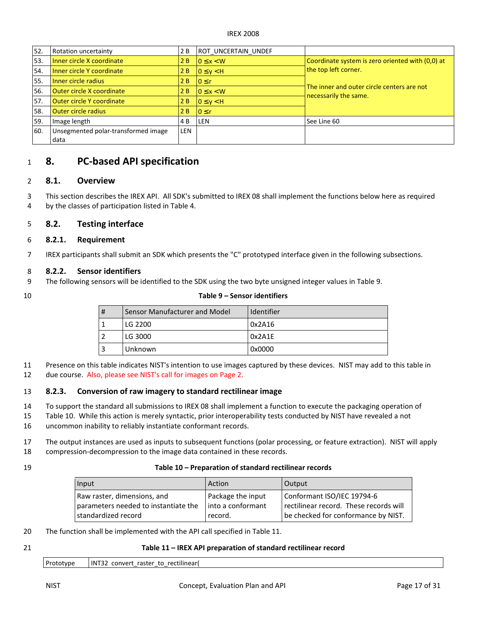| 52. | Rotation uncertainty                | 2 B        | <b>ROT UNCERTAIN UNDEF</b> |                                                                     |
|-----|-------------------------------------|------------|----------------------------|---------------------------------------------------------------------|
| 53. | Inner circle X coordinate           | 2 B        | $0 \leq x \leq W$          | Coordinate system is zero oriented with (0,0) at                    |
| 54. | Inner circle Y coordinate           | 2B         | $0 \leq v \leq H$          | the top left corner.                                                |
| 55. | Inner circle radius                 | 2 B        | $10 \leq r$                |                                                                     |
| 56. | <b>Outer circle X coordinate</b>    | 2B         | $0 \leq x \leq W$          | The inner and outer circle centers are not<br>necessarily the same. |
| 57. | <b>Outer circle Y coordinate</b>    | 2B         | $0 \leq v \leq H$          |                                                                     |
| 58. | <b>Outer circle radius</b>          | 2 B        | $10 \leq r$                |                                                                     |
| 59. | Image length                        | 4 B        | <b>LEN</b>                 | See Line 60                                                         |
| 60. | Unsegmented polar-transformed image | <b>LEN</b> |                            |                                                                     |
|     | data                                |            |                            |                                                                     |

# $1$  8. PC-based API specification

## 2 8.1. Overview

 3 This section describes the IREX API. All SDK's submitted to IREX 08 shall implement the functions below here as required 4 by the classes of participation listed in Table 4.

## 5 8.2. Testing interface

#### 6 8.2.1. Requirement

7 IREX participants shall submit an SDK which presents the "C" prototyped interface given in the following subsections.

#### 8 8.2.2. Sensor identifiers

9 The following sensors will be identified to the SDK using the two byte unsigned integer values in Table 9.

## 10 Table 9 – Sensor identifiers

| # | Sensor Manufacturer and Model | Identifier |
|---|-------------------------------|------------|
|   | LG 2200                       | 0x2A16     |
|   | LG 3000                       | 0x2A1E     |
|   | Unknown                       | 0x0000     |

 11 Presence on this table indicates NIST's intention to use images captured by these devices. NIST may add to this table in 12 due course. Also, please see NIST's call for images on Page 2.

#### 13 8.2.3. Conversion of raw imagery to standard rectilinear image

14 To support the standard all submissions to IREX 08 shall implement a function to execute the packaging operation of

- 15 Table 10. While this action is merely syntactic, prior interoperability tests conducted by NIST have revealed a not 16 uncommon inability to reliably instantiate conformant records.
- 17 The output instances are used as inputs to subsequent functions (polar processing, or feature extraction). NIST will apply 18 compression-decompression to the image data contained in these records.
- 

#### 19 Table 10 – Preparation of standard rectilinear records

| Input                                                               | Action                                   | Output                                                               |
|---------------------------------------------------------------------|------------------------------------------|----------------------------------------------------------------------|
| Raw raster, dimensions, and<br>parameters needed to instantiate the | Package the input<br>l into a conformant | Conformant ISO/IEC 19794-6<br>rectilinear record. These records will |
| l standardized record                                               | record.                                  | be checked for conformance by NIST.                                  |

- 20 The function shall be implemented with the API call specified in Table 11.
- 

## 21 Table 11 – IREX API preparation of standard rectilinear record

| Prototype | INT32 convert raster to rectilinear( |  |
|-----------|--------------------------------------|--|
|           |                                      |  |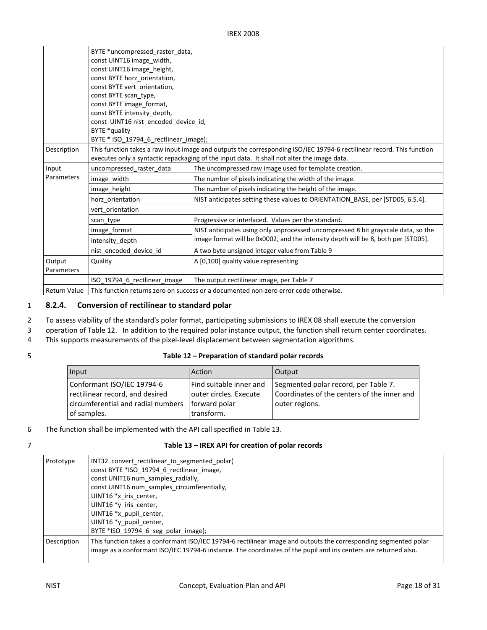|                      | BYTE *uncompressed_raster_data,<br>const UINT16 image width,<br>const UINT16 image height,<br>const BYTE horz orientation,<br>const BYTE vert orientation,<br>const BYTE scan type,<br>const BYTE image format,<br>const BYTE intensity depth,<br>const UINT16 nist_encoded_device_id,<br>BYTE *quality<br>BYTE * ISO_19794_6_rectlinear_image); |                                                                                   |  |
|----------------------|--------------------------------------------------------------------------------------------------------------------------------------------------------------------------------------------------------------------------------------------------------------------------------------------------------------------------------------------------|-----------------------------------------------------------------------------------|--|
| Description          | This function takes a raw input image and outputs the corresponding ISO/IEC 19794-6 rectilinear record. This function<br>executes only a syntactic repackaging of the input data. It shall not alter the image data.                                                                                                                             |                                                                                   |  |
| Input                | uncompressed_raster_data                                                                                                                                                                                                                                                                                                                         | The uncompressed raw image used for template creation.                            |  |
| Parameters           | image_width                                                                                                                                                                                                                                                                                                                                      | The number of pixels indicating the width of the image.                           |  |
|                      | image height                                                                                                                                                                                                                                                                                                                                     | The number of pixels indicating the height of the image.                          |  |
|                      | horz orientation                                                                                                                                                                                                                                                                                                                                 | NIST anticipates setting these values to ORIENTATION_BASE, per [STD05, 6.5.4].    |  |
|                      | vert orientation                                                                                                                                                                                                                                                                                                                                 |                                                                                   |  |
|                      | scan type                                                                                                                                                                                                                                                                                                                                        | Progressive or interlaced. Values per the standard.                               |  |
|                      | image format                                                                                                                                                                                                                                                                                                                                     | NIST anticipates using only unprocessed uncompressed 8 bit grayscale data, so the |  |
|                      | intensity depth                                                                                                                                                                                                                                                                                                                                  | image format will be 0x0002, and the intensity depth will be 8, both per [STD05]. |  |
|                      | nist encoded device id                                                                                                                                                                                                                                                                                                                           | A two byte unsigned integer value from Table 9                                    |  |
| Output<br>Parameters | Quality                                                                                                                                                                                                                                                                                                                                          | A [0,100] quality value representing                                              |  |
|                      | ISO 19794_6_rectlinear_image                                                                                                                                                                                                                                                                                                                     | The output rectilinear image, per Table 7                                         |  |
| <b>Return Value</b>  | This function returns zero on success or a documented non-zero error code otherwise.                                                                                                                                                                                                                                                             |                                                                                   |  |

# 1 8.2.4. Conversion of rectilinear to standard polar

- 2 To assess viability of the standard's polar format, participating submissions to IREX 08 shall execute the conversion
- 3 operation of Table 12. In addition to the required polar instance output, the function shall return center coordinates.
- 4 This supports measurements of the pixel-level displacement between segmentation algorithms.
- 

#### 5 Table 12 – Preparation of standard polar records

| Input                              | Action                  | <b>Output</b>                               |
|------------------------------------|-------------------------|---------------------------------------------|
| Conformant ISO/IEC 19794-6         | Find suitable inner and | Segmented polar record, per Table 7.        |
| rectilinear record, and desired    | outer circles. Execute  | Coordinates of the centers of the inner and |
| circumferential and radial numbers | forward polar           | outer regions.                              |
| of samples.                        | transform.              |                                             |

- 6 The function shall be implemented with the API call specified in Table 13.
- 

#### 7 Table 13 – IREX API for creation of polar records

| INT32 convert rectilinear to segmented polar(                                                                                                                                                                                        |
|--------------------------------------------------------------------------------------------------------------------------------------------------------------------------------------------------------------------------------------|
| const BYTE *ISO 19794 6 rectlinear image,                                                                                                                                                                                            |
| const UNIT16 num samples radially,                                                                                                                                                                                                   |
| const UINT16 num samples circumferentially,                                                                                                                                                                                          |
| UINT16 *x iris center,                                                                                                                                                                                                               |
| UINT16 *y iris center,                                                                                                                                                                                                               |
| UINT16 *x pupil center,                                                                                                                                                                                                              |
| UINT16 *y pupil center,                                                                                                                                                                                                              |
| BYTE *ISO 19794 6 seg polar image);                                                                                                                                                                                                  |
| This function takes a conformant ISO/IEC 19794-6 rectilinear image and outputs the corresponding segmented polar<br>image as a conformant ISO/IEC 19794-6 instance. The coordinates of the pupil and iris centers are returned also. |
|                                                                                                                                                                                                                                      |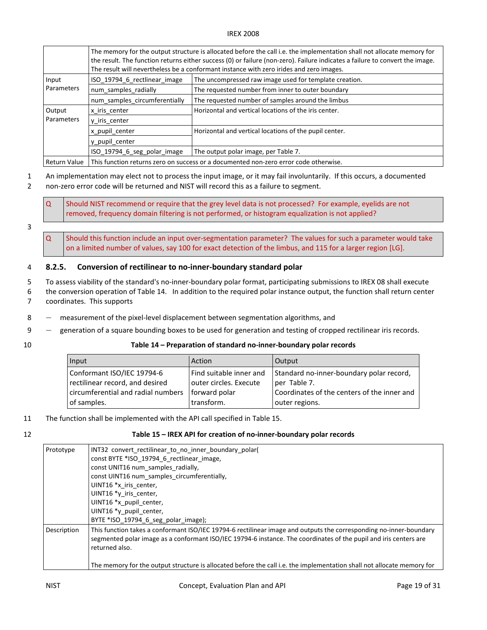|              | The memory for the output structure is allocated before the call i.e. the implementation shall not allocate memory for<br>the result. The function returns either success (0) or failure (non-zero). Failure indicates a failure to convert the image.<br>The result will nevertheless be a conformant instance with zero irides and zero images. |                                                        |  |
|--------------|---------------------------------------------------------------------------------------------------------------------------------------------------------------------------------------------------------------------------------------------------------------------------------------------------------------------------------------------------|--------------------------------------------------------|--|
| Input        | ISO 19794 6 rectlinear image                                                                                                                                                                                                                                                                                                                      | The uncompressed raw image used for template creation. |  |
| Parameters   | num samples radially                                                                                                                                                                                                                                                                                                                              | The requested number from inner to outer boundary      |  |
|              | num samples circumferentially                                                                                                                                                                                                                                                                                                                     | The requested number of samples around the limbus      |  |
| Output       | x iris center                                                                                                                                                                                                                                                                                                                                     | Horizontal and vertical locations of the iris center.  |  |
| Parameters   | y iris center                                                                                                                                                                                                                                                                                                                                     |                                                        |  |
|              | x pupil center                                                                                                                                                                                                                                                                                                                                    | Horizontal and vertical locations of the pupil center. |  |
|              | y pupil center                                                                                                                                                                                                                                                                                                                                    |                                                        |  |
|              | ISO 19794_6_seg_polar_image                                                                                                                                                                                                                                                                                                                       | The output polar image, per Table 7.                   |  |
| Return Value | This function returns zero on success or a documented non-zero error code otherwise.                                                                                                                                                                                                                                                              |                                                        |  |

1 An implementation may elect not to process the input image, or it may fail involuntarily. If this occurs, a documented

2 non-zero error code will be returned and NIST will record this as a failure to segment.

 removed, frequency domain filtering is not performed, or histogram equalization is not applied? Should NIST recommend or require that the grey level data is not processed? For example, eyelids are not

3

 $\Omega$ 

 $\Omega$ 

 on a limited number of values, say 100 for exact detection of the limbus, and 115 for a larger region [LG]. Should this function include an input over-segmentation parameter? The values for such a parameter would take

## 4 8.2.5. Conversion of rectilinear to no-inner-boundary standard polar

- 5 To assess viability of the standard's no-inner-boundary polar format, participating submissions to IREX 08 shall execute 6 the conversion operation of Table 14. In addition to the required polar instance output, the function shall return center 7 coordinates. This supports
- 8 ― measurement of the pixel-level displacement between segmentation algorithms, and
- 9 ― generation of a square bounding boxes to be used for generation and testing of cropped rectilinear iris records.
- 

#### 10 Table 14 – Preparation of standard no-inner-boundary polar records

| Input                              | Action                  | Output                                      |
|------------------------------------|-------------------------|---------------------------------------------|
| Conformant ISO/IEC 19794-6         | Find suitable inner and | Standard no-inner-boundary polar record,    |
| rectilinear record, and desired    | outer circles. Execute  | per Table 7.                                |
| circumferential and radial numbers | forward polar           | Coordinates of the centers of the inner and |
| of samples.                        | transform.              | outer regions.                              |

- 11 The function shall be implemented with the API call specified in Table 15.
- 

#### 12 Table 15 – IREX API for creation of no-inner-boundary polar records

| Prototype   | INT32 convert rectilinear to no inner boundary polar                                                                                                                                                                                                      |
|-------------|-----------------------------------------------------------------------------------------------------------------------------------------------------------------------------------------------------------------------------------------------------------|
|             | const BYTE *ISO 19794 6 rectlinear image,                                                                                                                                                                                                                 |
|             | const UNIT16 num_samples_radially,                                                                                                                                                                                                                        |
|             | const UINT16 num samples circumferentially,                                                                                                                                                                                                               |
|             | UINT16 *x iris center,                                                                                                                                                                                                                                    |
|             | UINT16 *y iris center,                                                                                                                                                                                                                                    |
|             | UINT16 *x_pupil_center,                                                                                                                                                                                                                                   |
|             | UINT16 *y pupil center,                                                                                                                                                                                                                                   |
|             | BYTE *ISO 19794 6 seg polar image);                                                                                                                                                                                                                       |
| Description | This function takes a conformant ISO/IEC 19794-6 rectilinear image and outputs the corresponding no-inner-boundary<br>segmented polar image as a conformant ISO/IEC 19794-6 instance. The coordinates of the pupil and iris centers are<br>returned also. |
|             | The memory for the output structure is allocated before the call i.e. the implementation shall not allocate memory for                                                                                                                                    |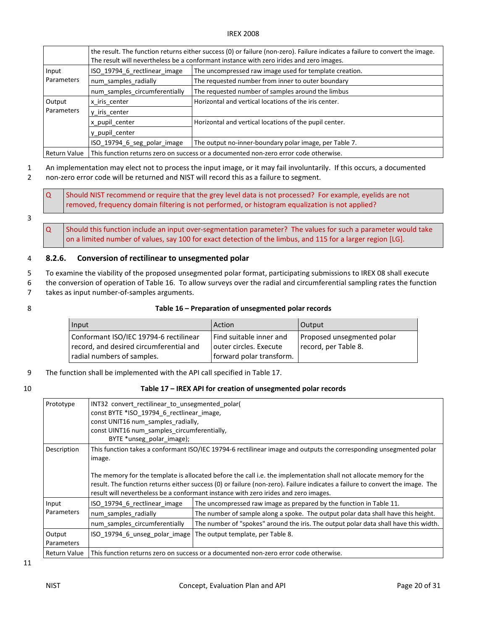|              | the result. The function returns either success (0) or failure (non-zero). Failure indicates a failure to convert the image.<br>The result will nevertheless be a conformant instance with zero irides and zero images. |                                                        |  |
|--------------|-------------------------------------------------------------------------------------------------------------------------------------------------------------------------------------------------------------------------|--------------------------------------------------------|--|
| Input        | ISO 19794 6 rectlinear image                                                                                                                                                                                            | The uncompressed raw image used for template creation. |  |
| Parameters   | num samples radially                                                                                                                                                                                                    | The requested number from inner to outer boundary      |  |
|              | num samples circumferentially                                                                                                                                                                                           | The requested number of samples around the limbus      |  |
| Output       | x iris center                                                                                                                                                                                                           | Horizontal and vertical locations of the iris center.  |  |
| Parameters   | y iris center                                                                                                                                                                                                           |                                                        |  |
|              | x pupil center                                                                                                                                                                                                          | Horizontal and vertical locations of the pupil center. |  |
|              | y pupil center                                                                                                                                                                                                          |                                                        |  |
|              | ISO 19794 6 seg polar image                                                                                                                                                                                             | The output no-inner-boundary polar image, per Table 7. |  |
| Return Value | This function returns zero on success or a documented non-zero error code otherwise.                                                                                                                                    |                                                        |  |

1 An implementation may elect not to process the input image, or it may fail involuntarily. If this occurs, a documented

2 non-zero error code will be returned and NIST will record this as a failure to segment.

 $\Omega$  removed, frequency domain filtering is not performed, or histogram equalization is not applied? Should NIST recommend or require that the grey level data is not processed? For example, eyelids are not

### 3

 $\Omega$  on a limited number of values, say 100 for exact detection of the limbus, and 115 for a larger region [LG]. Should this function include an input over-segmentation parameter? The values for such a parameter would take

## 4 8.2.6. Conversion of rectilinear to unsegmented polar

- 5 To examine the viability of the proposed unsegmented polar format, participating submissions to IREX 08 shall execute
- 6 the conversion of operation of Table 16. To allow surveys over the radial and circumferential sampling rates the function
- 7 takes as input number-of-samples arguments.
- 

#### 8 Table 16 – Preparation of unsegmented polar records

| Input                                                                                                           | Action                                                                        | Output                                             |
|-----------------------------------------------------------------------------------------------------------------|-------------------------------------------------------------------------------|----------------------------------------------------|
| Conformant ISO/IEC 19794-6 rectilinear<br>record, and desired circumferential and<br>radial numbers of samples. | Find suitable inner and<br>outer circles. Execute<br>forward polar transform. | Proposed unsegmented polar<br>record, per Table 8. |

9 The function shall be implemented with the API call specified in Table 17.

#### 10 Table 17 – IREX API for creation of unsegmented polar records

| Prototype            | INT32 convert rectilinear to unsegmented polar(<br>const BYTE *ISO 19794 6 rectlinear image,<br>const UNIT16 num samples radially,<br>const UINT16 num samples circumferentially,<br>BYTE *unseg polar image);                                                                                                                                                                                                                                                            |                                                                                                                                                          |  |
|----------------------|---------------------------------------------------------------------------------------------------------------------------------------------------------------------------------------------------------------------------------------------------------------------------------------------------------------------------------------------------------------------------------------------------------------------------------------------------------------------------|----------------------------------------------------------------------------------------------------------------------------------------------------------|--|
| Description          | This function takes a conformant ISO/IEC 19794-6 rectilinear image and outputs the corresponding unsegmented polar<br>image.<br>The memory for the template is allocated before the call i.e. the implementation shall not allocate memory for the<br>result. The function returns either success (0) or failure (non-zero). Failure indicates a failure to convert the image. The<br>result will nevertheless be a conformant instance with zero irides and zero images. |                                                                                                                                                          |  |
| Input<br>Parameters  | ISO 19794 6 rectlinear image<br>num_samples_radially                                                                                                                                                                                                                                                                                                                                                                                                                      | The uncompressed raw image as prepared by the function in Table 11.<br>The number of sample along a spoke. The output polar data shall have this height. |  |
| Output<br>Parameters | num samples circumferentially<br>ISO 19794 6 unseg polar image                                                                                                                                                                                                                                                                                                                                                                                                            | The number of "spokes" around the iris. The output polar data shall have this width.<br>The output template, per Table 8.                                |  |
| Return Value         | This function returns zero on success or a documented non-zero error code otherwise.                                                                                                                                                                                                                                                                                                                                                                                      |                                                                                                                                                          |  |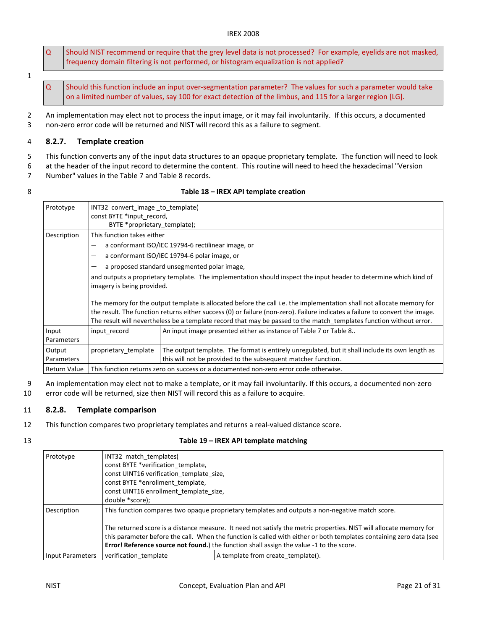- $\overline{Q}$  frequency domain filtering is not performed, or histogram equalization is not applied? Should NIST recommend or require that the grey level data is not processed? For example, eyelids are not masked,
- 1

 $\Omega$ 

 on a limited number of values, say 100 for exact detection of the limbus, and 115 for a larger region [LG]. Should this function include an input over-segmentation parameter? The values for such a parameter would take

 2 An implementation may elect not to process the input image, or it may fail involuntarily. If this occurs, a documented 3 non-zero error code will be returned and NIST will record this as a failure to segment.

#### 4 8.2.7. Template creation

5 This function converts any of the input data structures to an opaque proprietary template. The function will need to look

6 at the header of the input record to determine the content. This routine will need to heed the hexadecimal "Version

- 7 Number" values in the Table 7 and Table 8 records.
- 

|  | Table 18 - IREX API template creation |
|--|---------------------------------------|
|--|---------------------------------------|

| Prototype            | INT32 convert image to template(<br>const BYTE *input record,<br>BYTE *proprietary_template);                                                                                                                                                                                                                                                                                                                                                                                                                                                                                                                                                                                                                                                   |                                                                                                                                                                  |
|----------------------|-------------------------------------------------------------------------------------------------------------------------------------------------------------------------------------------------------------------------------------------------------------------------------------------------------------------------------------------------------------------------------------------------------------------------------------------------------------------------------------------------------------------------------------------------------------------------------------------------------------------------------------------------------------------------------------------------------------------------------------------------|------------------------------------------------------------------------------------------------------------------------------------------------------------------|
| Description          | This function takes either<br>a conformant ISO/IEC 19794-6 rectilinear image, or<br>a conformant ISO/IEC 19794-6 polar image, or<br>$\overline{\phantom{0}}$<br>a proposed standard unsegmented polar image,<br>and outputs a proprietary template. The implementation should inspect the input header to determine which kind of<br>imagery is being provided.<br>The memory for the output template is allocated before the call i.e. the implementation shall not allocate memory for<br>the result. The function returns either success (0) or failure (non-zero). Failure indicates a failure to convert the image.<br>The result will nevertheless be a template record that may be passed to the match templates function without error. |                                                                                                                                                                  |
| Input<br>Parameters  | An input image presented either as instance of Table 7 or Table 8<br>input record                                                                                                                                                                                                                                                                                                                                                                                                                                                                                                                                                                                                                                                               |                                                                                                                                                                  |
| Output<br>Parameters | proprietary template                                                                                                                                                                                                                                                                                                                                                                                                                                                                                                                                                                                                                                                                                                                            | The output template. The format is entirely unregulated, but it shall include its own length as<br>this will not be provided to the subsequent matcher function. |
| Return Value         | This function returns zero on success or a documented non-zero error code otherwise.                                                                                                                                                                                                                                                                                                                                                                                                                                                                                                                                                                                                                                                            |                                                                                                                                                                  |

 9 An implementation may elect not to make a template, or it may fail involuntarily. If this occurs, a documented non-zero 10 error code will be returned, size then NIST will record this as a failure to acquire.

- 11 8.2.8. Template comparison
- 12 This function compares two proprietary templates and returns a real-valued distance score.
- 

#### 13 Table 19 – IREX API template matching

| Prototype               | INT32 match templates(<br>const BYTE *verification template,<br>const UINT16 verification template size,<br>const BYTE *enrollment template,<br>const UINT16 enrollment template size,<br>double *score);                                                                                                                                    |                                    |
|-------------------------|----------------------------------------------------------------------------------------------------------------------------------------------------------------------------------------------------------------------------------------------------------------------------------------------------------------------------------------------|------------------------------------|
| Description             | This function compares two opaque proprietary templates and outputs a non-negative match score.<br>The returned score is a distance measure. It need not satisfy the metric properties. NIST will allocate memory for<br>this parameter before the call. When the function is called with either or both templates containing zero data (see |                                    |
|                         | <b>Error! Reference source not found.)</b> the function shall assign the value -1 to the score.                                                                                                                                                                                                                                              |                                    |
| <b>Input Parameters</b> | verification template                                                                                                                                                                                                                                                                                                                        | A template from create template(). |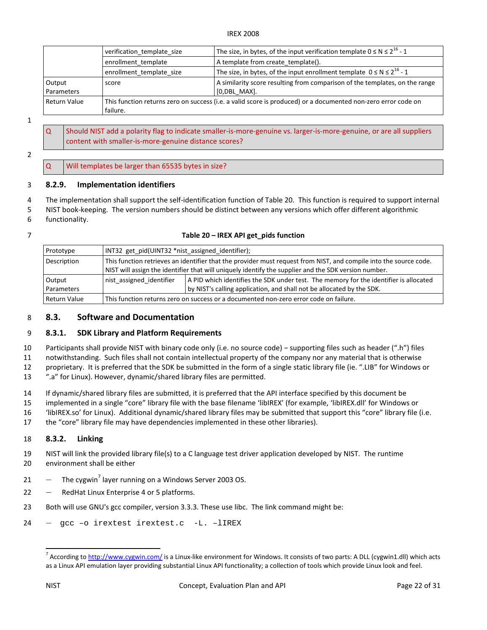|              | verification template size                                                                                    | The size, in bytes, of the input verification template $0 \le N \le 2^{16} - 1$ |
|--------------|---------------------------------------------------------------------------------------------------------------|---------------------------------------------------------------------------------|
|              | enrollment template                                                                                           | A template from create template().                                              |
|              | enrollment template size                                                                                      | The size, in bytes, of the input enrollment template $0 \le N \le 2^{16} - 1$   |
| Output       | score                                                                                                         | A similarity score resulting from comparison of the templates, on the range     |
| Parameters   |                                                                                                               | $[0, DBL MAX]$ .                                                                |
| Return Value | This function returns zero on success (i.e. a valid score is produced) or a documented non-zero error code on |                                                                                 |
|              | failure.                                                                                                      |                                                                                 |

1

- $\overline{Q}$  content with smaller-is-more-genuine distance scores? Should NIST add a polarity flag to indicate smaller-is-more-genuine vs. larger-is-more-genuine, or are all suppliers
- 2

 $\Omega$ Will templates be larger than 65535 bytes in size?

#### 3 8.2.9. Implementation identifiers

- 4 The implementation shall support the self-identification function of Table 20. This function is required to support internal
- 5 NIST book-keeping. The version numbers should be distinct between any versions which offer different algorithmic 6 functionality.
- 
- 

## 7 Table 20 – IREX API get\_pids function

| Prototype           | INT32 get_pid(UINT32 *nist_assigned_identifier);                                                                  |                                                                                       |
|---------------------|-------------------------------------------------------------------------------------------------------------------|---------------------------------------------------------------------------------------|
| Description         | This function retrieves an identifier that the provider must request from NIST, and compile into the source code. |                                                                                       |
|                     | NIST will assign the identifier that will uniquely identify the supplier and the SDK version number.              |                                                                                       |
| Output              | nist assigned identifier                                                                                          | A PID which identifies the SDK under test. The memory for the identifier is allocated |
| Parameters          |                                                                                                                   | by NIST's calling application, and shall not be allocated by the SDK.                 |
| <b>Return Value</b> | This function returns zero on success or a documented non-zero error code on failure.                             |                                                                                       |

## 8 8.3. Software and Documentation

#### 9 8.3.1. SDK Library and Platform Requirements

 10 Participants shall provide NIST with binary code only (i.e. no source code) − supporting files such as header (".h") files 11 notwithstanding. Such files shall not contain intellectual property of the company nor any material that is otherwise 12 proprietary. It is preferred that the SDK be submitted in the form of a single static library file (ie. ".LIB" for Windows or

13 ".a" for Linux). However, dynamic/shared library files are permitted.

14 If dynamic/shared library files are submitted, it is preferred that the API interface specified by this document be

- 15 implemented in a single "core" library file with the base filename 'libIREX' (for example, 'libIREX.dll' for Windows or
- 16 ['libIREX.so'](https://libIREX.so) for Linux). Additional dynamic/shared library files may be submitted that support this "core" library file (i.e.
- 17 the "core" library file may have dependencies implemented in these other libraries).

## 18 8.3.2. Linking

- 19 NIST will link the provided library file(s) to a C language test driver application developed by NIST. The runtime 20 environment shall be either
- 21 The cygwin<sup>7</sup> layer running on a Windows Server 2003 OS.
- 22 RedHat Linux Enterprise 4 or 5 platforms.
- 23 Both will use GNU's gcc compiler, version 3.3.3. These use libc. The link command might be:
- 24 ― gcc –o irextest irextest.c -L. –lIREX

 $\overline{\phantom{a}}$ 

<sup>&</sup>lt;sup>7</sup> According to [http://www.cygwin.com/](http://www.cygwin.com) is a Linux-like environment for Windows. It consists of two parts: A DLL (cygwin1.dll) which acts as a Linux API emulation layer providing substantial Linux API functionality; a collection of tools which provide Linux look and feel.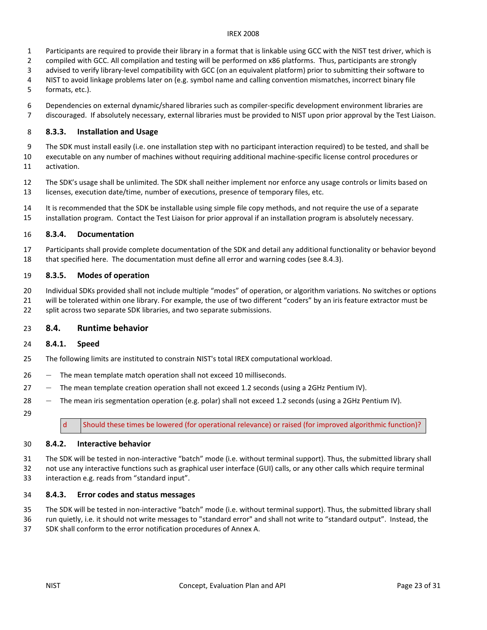- 1 Participants are required to provide their library in a format that is linkable using GCC with the NIST test driver, which is
- 2 compiled with GCC. All compilation and testing will be performed on x86 platforms. Thus, participants are strongly
- 3 advised to verify library-level compatibility with GCC (on an equivalent platform) prior to submitting their software to
- 4 NIST to avoid linkage problems later on (e.g. symbol name and calling convention mismatches, incorrect binary file
- formats, etc.). 5
- 6 Dependencies on external dynamic/shared libraries such as compiler-specific development environment libraries are 7 discouraged. If absolutely necessary, external libraries must be provided to NIST upon prior approval by the Test Liaison.

## 8 8.3.3. Installation and Usage

 9 The SDK must install easily (i.e. one installation step with no participant interaction required) to be tested, and shall be executable on any number of machines without requiring additional machine-specific license control procedures or 10 11 activation.

 12 The SDK's usage shall be unlimited. The SDK shall neither implement nor enforce any usage controls or limits based on 13 licenses, execution date/time, number of executions, presence of temporary files, etc.

14 It is recommended that the SDK be installable using simple file copy methods, and not require the use of a separate installation program. Contact the Test Liaison for prior approval if an installation program is absolutely necessary. 15

## 16 8.3.4. Documentation

 17 Participants shall provide complete documentation of the SDK and detail any additional functionality or behavior beyond 18 that specified here. The documentation must define all error and warning codes (see 8.4.3).

## 19 8.3.5. Modes of operation

 Individual SDKs provided shall not include multiple "modes" of operation, or algorithm variations. No switches or options 21 will be tolerated within one library. For example, the use of two different "coders" by an iris feature extractor must be 22 split across two separate SDK libraries, and two separate submissions. 20

## 23 8.4. Runtime behavior

## 24 8.4.1. Speed

- The following limits are instituted to constrain NIST's total IREX computational workload. 25
- 26 The mean template match operation shall not exceed 10 milliseconds.
- 27 The mean template creation operation shall not exceed 1.2 seconds (using a 2GHz Pentium IV).
- 28 The mean iris segmentation operation (e.g. polar) shall not exceed 1.2 seconds (using a 2GHz Pentium IV).
- 29

 $\mathsf{d}$ Should these times be lowered (for operational relevance) or raised (for improved algorithmic function)?

#### 8.4.2. Interactive behavior 30

 31 The SDK will be tested in non-interactive "batch" mode (i.e. without terminal support). Thus, the submitted library shall 32 not use any interactive functions such as graphical user interface (GUI) calls, or any other calls which require terminal 33 interaction e.g. reads from "standard input".

## 34 8.4.3. Error codes and status messages

 The SDK will be tested in non-interactive "batch" mode (i.e. without terminal support). Thus, the submitted library shall 35

 36 run quietly, i.e. it should not write messages to "standard error" and shall not write to "standard output". Instead, the 37 SDK shall conform to the error notification procedures of Annex A.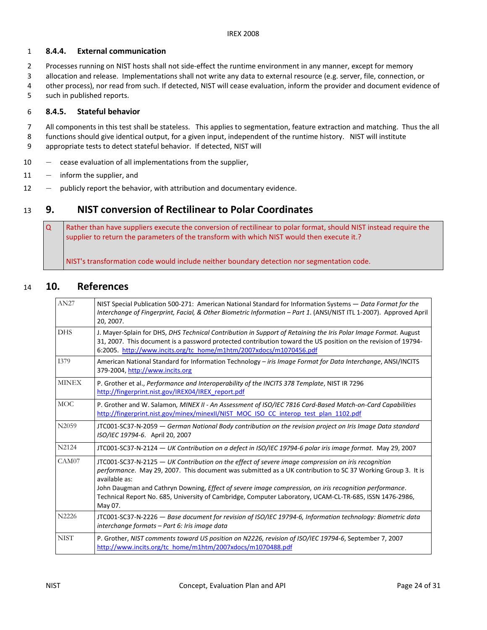### 1 8.4.4. External communication

- 2 Processes running on NIST hosts shall not side-effect the runtime environment in any manner, except for memory
- 3 allocation and release. Implementations shall not write any data to external resource (e.g. server, file, connection, or
- 4 other process), nor read from such. If detected, NIST will cease evaluation, inform the provider and document evidence of
- 5 such in published reports.

## 6 8.4.5. Stateful behavior

- 7 All components in this test shall be stateless. This applies to segmentation, feature extraction and matching. Thus the all
- 8 functions should give identical output, for a given input, independent of the runtime history. NIST will institute
- 9 appropriate tests to detect stateful behavior. If detected, NIST will
- 10 cease evaluation of all implementations from the supplier,
- 11 inform the supplier, and
- 12 publicly report the behavior, with attribution and documentary evidence.

# 13 9. NIST conversion of Rectilinear to Polar Coordinates

 $\overline{O}$  supplier to return the parameters of the transform with which NIST would then execute it.? Rather than have suppliers execute the conversion of rectilinear to polar format, should NIST instead require the

NIST's transformation code would include neither boundary detection nor segmentation code.

# 14 10. References

| AN27         | NIST Special Publication 500-271: American National Standard for Information Systems - Data Format for the<br>Interchange of Fingerprint, Facial, & Other Biometric Information - Part 1. (ANSI/NIST ITL 1-2007). Approved April<br>20, 2007.                                                                                                                                                                                                                      |
|--------------|--------------------------------------------------------------------------------------------------------------------------------------------------------------------------------------------------------------------------------------------------------------------------------------------------------------------------------------------------------------------------------------------------------------------------------------------------------------------|
| <b>DHS</b>   | J. Mayer-Splain for DHS, DHS Technical Contribution in Support of Retaining the Iris Polar Image Format. August<br>31, 2007. This document is a password protected contribution toward the US position on the revision of 19794-<br>6:2005. http://www.incits.org/tc_home/m1htm/2007xdocs/m1070456.pdf                                                                                                                                                             |
| 1379         | American National Standard for Information Technology – <i>iris Image Format for Data Interchange</i> , ANSI/INCITS<br>379-2004, http://www.incits.org                                                                                                                                                                                                                                                                                                             |
| <b>MINEX</b> | P. Grother et al., Performance and Interoperability of the INCITS 378 Template, NIST IR 7296<br>http://fingerprint.nist.gov/IREX04/IREX report.pdf                                                                                                                                                                                                                                                                                                                 |
| MOC          | P. Grother and W. Salamon, MINEX II - An Assessment of ISO/IEC 7816 Card-Based Match-on-Card Capabilities<br>http://fingerprint.nist.gov/minex/minexII/NIST MOC ISO CC interop test plan 1102.pdf                                                                                                                                                                                                                                                                  |
| N2059        | JTC001-SC37-N-2059 - German National Body contribution on the revision project on Iris Image Data standard<br>ISO/IEC 19794-6. April 20, 2007                                                                                                                                                                                                                                                                                                                      |
| N2124        | JTC001-SC37-N-2124 - UK Contribution on a defect in ISO/IEC 19794-6 polar iris image format. May 29, 2007                                                                                                                                                                                                                                                                                                                                                          |
| CAM07        | JTC001-SC37-N-2125 - UK Contribution on the effect of severe image compression on iris recognition<br>performance. May 29, 2007. This document was submitted as a UK contribution to SC 37 Working Group 3. It is<br>available as:<br>John Daugman and Cathryn Downing, Effect of severe image compression, on iris recognition performance.<br>Technical Report No. 685, University of Cambridge, Computer Laboratory, UCAM-CL-TR-685, ISSN 1476-2986,<br>May 07. |
| N2226        | JTC001-SC37-N-2226 - Base document for revision of ISO/IEC 19794-6, Information technology: Biometric data<br>interchange formats – Part 6: Iris image data                                                                                                                                                                                                                                                                                                        |
| <b>NIST</b>  | P. Grother, NIST comments toward US position on N2226, revision of ISO/IEC 19794-6, September 7, 2007<br>http://www.incits.org/tc_home/m1htm/2007xdocs/m1070488.pdf                                                                                                                                                                                                                                                                                                |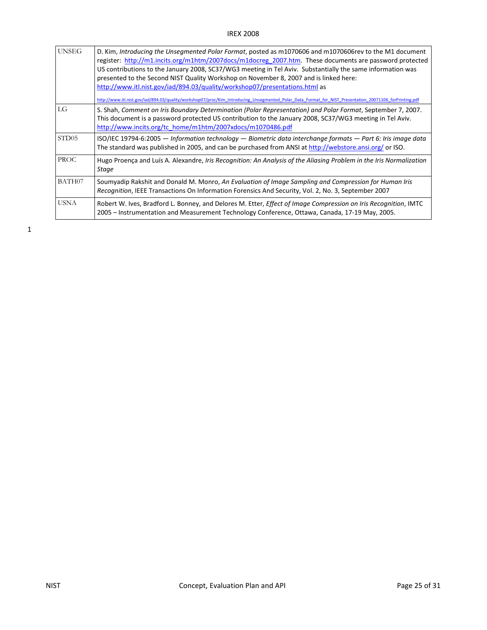| <b>UNSEG</b>      | D. Kim, Introducing the Unsegmented Polar Format, posted as m1070606 and m1070606rev to the M1 document<br>register: http://m1.incits.org/m1htm/2007docs/m1docreg_2007.htm. These documents are password protected<br>US contributions to the January 2008, SC37/WG3 meeting in Tel Aviv. Substantially the same information was<br>presented to the Second NIST Quality Workshop on November 8, 2007 and is linked here:<br>http://www.itl.nist.gov/iad/894.03/quality/workshop07/presentations.html as<br>http://www.itl.nist.gov/iad/894.03/quality/workshop07/proc/Kim Introducing Unsegmented Polar Data Format for NIST Presentation 20071106 forPrinting.pdf |
|-------------------|---------------------------------------------------------------------------------------------------------------------------------------------------------------------------------------------------------------------------------------------------------------------------------------------------------------------------------------------------------------------------------------------------------------------------------------------------------------------------------------------------------------------------------------------------------------------------------------------------------------------------------------------------------------------|
| LG                | S. Shah, Comment on Iris Boundary Determination (Polar Representation) and Polar Format, September 7, 2007.<br>This document is a password protected US contribution to the January 2008, SC37/WG3 meeting in Tel Aviv.<br>http://www.incits.org/tc_home/m1htm/2007xdocs/m1070486.pdf                                                                                                                                                                                                                                                                                                                                                                               |
| STD <sub>05</sub> | ISO/IEC 19794-6:2005 - Information technology - Biometric data interchange formats - Part 6: Iris image data<br>The standard was published in 2005, and can be purchased from ANSI at http://webstore.ansi.org/ or ISO.                                                                                                                                                                                                                                                                                                                                                                                                                                             |
| <b>PROC</b>       | Hugo Proença and Luís A. Alexandre, Iris Recognition: An Analysis of the Aliasing Problem in the Iris Normalization<br>Stage                                                                                                                                                                                                                                                                                                                                                                                                                                                                                                                                        |
| BATH07            | Soumyadip Rakshit and Donald M. Monro, An Evaluation of Image Sampling and Compression for Human Iris<br>Recognition, IEEE Transactions On Information Forensics And Security, Vol. 2, No. 3, September 2007                                                                                                                                                                                                                                                                                                                                                                                                                                                        |
| USNA              | Robert W. Ives, Bradford L. Bonney, and Delores M. Etter, Effect of Image Compression on Iris Recognition, IMTC<br>2005 - Instrumentation and Measurement Technology Conference, Ottawa, Canada, 17-19 May, 2005.                                                                                                                                                                                                                                                                                                                                                                                                                                                   |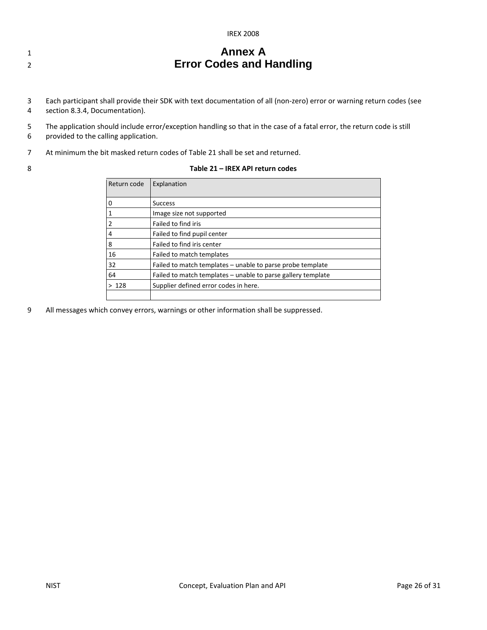| <b>IREX 2008</b> |  |
|------------------|--|
|------------------|--|

# **1 Annex A**  2 **Error Codes and Handling**

- 3 Each participant shall provide their SDK with text documentation of all (non-zero) error or warning return codes (see 4 section 8.3.4, Documentation).
- 5 The application should include error/exception handling so that in the case of a fatal error, the return code is still 6 provided to the calling application.
- 7 At minimum the bit masked return codes of Table 21 shall be set and returned.
- 

#### 8 Table 21 – IREX API return codes

| Return code | Explanation                                                  |  |
|-------------|--------------------------------------------------------------|--|
| 0           | <b>Success</b>                                               |  |
|             | Image size not supported                                     |  |
| 2           | Failed to find iris                                          |  |
| 4           | Failed to find pupil center                                  |  |
| 8           | Failed to find iris center                                   |  |
| 16          | Failed to match templates                                    |  |
| 32          | Failed to match templates – unable to parse probe template   |  |
| 64          | Failed to match templates – unable to parse gallery template |  |
| >128        | Supplier defined error codes in here.                        |  |
|             |                                                              |  |

9 All messages which convey errors, warnings or other information shall be suppressed.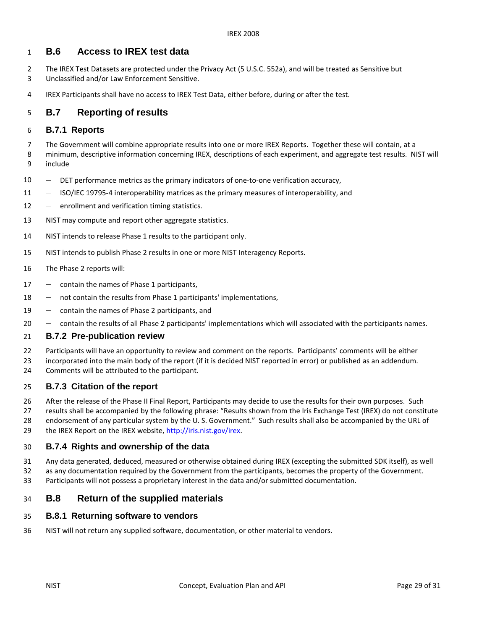#### **B.6** 1 **B.6 Access to IREX test data**

- 2 The IREX Test Datasets are protected under the Privacy Act (5 U.S.C. 552a), and will be treated as Sensitive but 3 Unclassified and/or Law Enforcement Sensitive.
- 4 IREX Participants shall have no access to IREX Test Data, either before, during or after the test.

#### **B.7 Reporting of results**  5

## 6 **B.7.1 Reports**

 7 The Government will combine appropriate results into one or more IREX Reports. Together these will contain, at a 8 minimum, descriptive information concerning IREX, descriptions of each experiment, and aggregate test results. NIST will 9 include

- ― DET performance metrics as the primary indicators of one-to-one verification accuracy, 10
- 11 ISO/IEC 19795-4 interoperability matrices as the primary measures of interoperability, and
- 12 enrollment and verification timing statistics.
- 13 NIST may compute and report other aggregate statistics.
- 14 NIST intends to release Phase 1 results to the participant only.
- NIST intends to publish Phase 2 results in one or more NIST Interagency Reports. 15
- 16 The Phase 2 reports will:
- 17 contain the names of Phase 1 participants,
- 18 ― not contain the results from Phase 1 participants' implementations,
- 19 contain the names of Phase 2 participants, and
- ― contain the results of all Phase 2 participants' implementations which will associated with the participants names. 20

## 21 **B.7.2 Pre-publication review**

22 Participants will have an opportunity to review and comment on the reports. Participants' comments will be either

 23 incorporated into the main body of the report (if it is decided NIST reported in error) or published as an addendum. 24 Comments will be attributed to the participant.

#### **B.7.3 Citation of the report**  25

- 26 After the release of the Phase II Final Report, Participants may decide to use the results for their own purposes. Such
- 27 results shall be accompanied by the following phrase: "Results shown from the Iris Exchange Test (IREX) do not constitute 28 endorsement of any particular system by the U. S. Government." Such results shall also be accompanied by the URL of 29 the IREX Report on the IREX website,<http://iris.nist.gov/irex>.

#### **B.7.4 Rights and ownership of the data**  30

- 31 Any data generated, deduced, measured or otherwise obtained during IREX (excepting the submitted SDK itself), as well
- 32 as any documentation required by the Government from the participants, becomes the property of the Government. 33 Participants will not possess a proprietary interest in the data and/or submitted documentation.

#### **B.8** 34 **B.8 Return of the supplied materials**

#### **B.8.1 Returning software to vendors**  35

36 NIST will not return any supplied software, documentation, or other material to vendors.